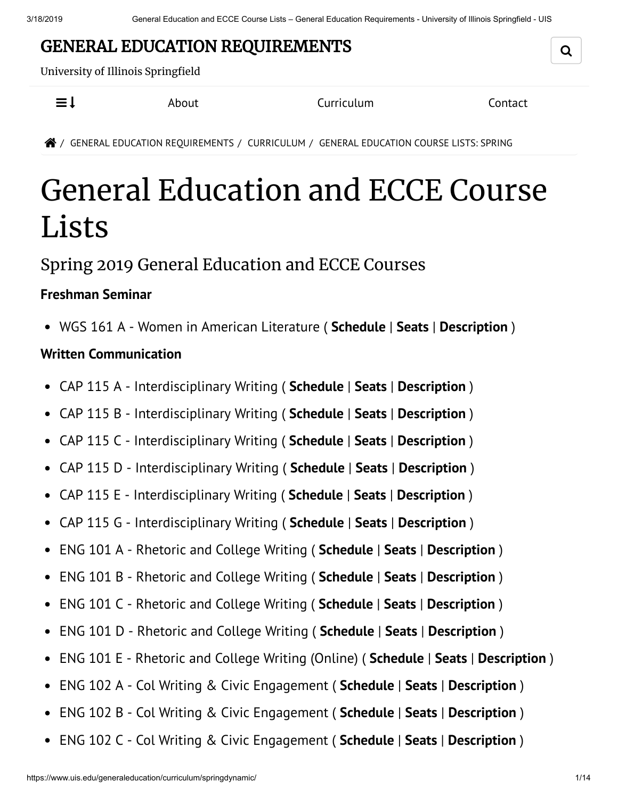## GENERAL EDUCATION REQUIREMENTS

University of Illinois Springfield

 $\equiv$   $\downarrow$  About Curriculum Contact

Q

/ GENERAL EDUCATION REQUIREMENTS / CURRICULUM / GENERAL EDUCATION COURSE LISTS: SPRING

# General Education and ECCE Course Lists

### Spring 2019 General Education and ECCE Courses

#### **Freshman Seminar**

WGS 161 A - Women in American Literature ( **Schedule** | **Seats** | **Description** )

#### **Written Communication**

- CAP 115 A Interdisciplinary Writing ( **Schedule** | **Seats** | **Description** )  $\bullet$
- CAP 115 B Interdisciplinary Writing ( **Schedule** | **Seats** | **Description** )  $\bullet$
- CAP 115 C Interdisciplinary Writing ( **Schedule** | **Seats** | **Description** )  $\bullet$
- CAP 115 D Interdisciplinary Writing ( **Schedule** | **Seats** | **Description** )  $\bullet$
- CAP 115 E Interdisciplinary Writing ( **Schedule** | **Seats** | **Description** )
- CAP 115 G Interdisciplinary Writing ( **Schedule** | **Seats** | **Description** )
- ENG 101 A Rhetoric and College Writing ( **Schedule** | **Seats** | **Description** )  $\bullet$
- ENG 101 B Rhetoric and College Writing ( **Schedule** | **Seats** | **Description** )  $\bullet$
- ENG 101 C Rhetoric and College Writing ( **Schedule** | **Seats** | **Description** )  $\bullet$
- ENG 101 D Rhetoric and College Writing ( **Schedule** | **Seats** | **Description** )  $\bullet$
- ENG 101 E Rhetoric and College Writing (Online) ( **Schedule** | **Seats** | **Description** )  $\bullet$
- ENG 102 A Col Writing & Civic Engagement ( **Schedule** | **Seats** | **Description** )  $\bullet$
- $\bullet$ ENG 102 B - Col Writing & Civic Engagement ( **Schedule** | **Seats** | **Description** )
- ENG 102 C Col Writing & Civic Engagement ( **Schedule** | **Seats** | **Description** ) $\bullet$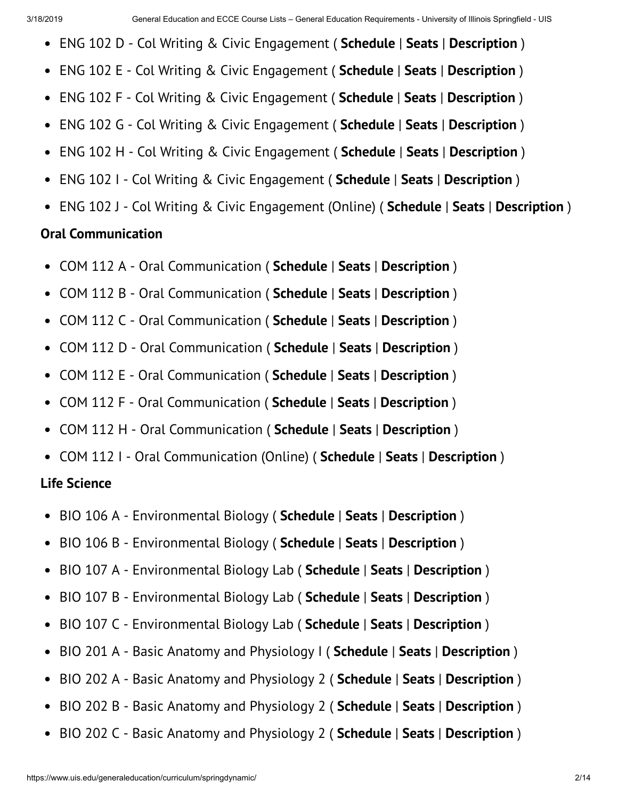- ENG 102 D Col Writing & Civic Engagement ( **Schedule** | **Seats** | **Description** )  $\bullet$
- ENG 102 E Col Writing & Civic Engagement ( **Schedule** | **Seats** | **Description** )  $\bullet$
- ENG 102 F Col Writing & Civic Engagement ( **Schedule** | **Seats** | **Description** )  $\bullet$
- ENG 102 G Col Writing & Civic Engagement ( **Schedule** | **Seats** | **Description** )  $\bullet$
- ENG 102 H Col Writing & Civic Engagement ( **Schedule** | **Seats** | **Description** )  $\bullet$
- ENG 102 I Col Writing & Civic Engagement ( **Schedule** | **Seats** | **Description** )  $\bullet$
- ENG 102 J Col Writing & Civic Engagement (Online) ( **Schedule** | **Seats** | **Description** )

#### **Oral Communication**

- COM 112 A Oral Communication ( **Schedule** | **Seats** | **Description** )
- COM 112 B Oral Communication ( **Schedule** | **Seats** | **Description** )  $\bullet$
- COM 112 C Oral Communication ( **Schedule** | **Seats** | **Description** )  $\bullet$
- COM 112 D Oral Communication ( **Schedule** | **Seats** | **Description** )  $\bullet$
- COM 112 E Oral Communication ( **Schedule** | **Seats** | **Description** )  $\bullet$
- COM 112 F Oral Communication ( **Schedule** | **Seats** | **Description** )  $\bullet$
- COM 112 H Oral Communication ( **Schedule** | **Seats** | **Description** )
- COM 112 I Oral Communication (Online) ( **Schedule** | **Seats** | **Description** )

#### **Life Science**

- BIO 106 A Environmental Biology ( **Schedule** | **Seats** | **Description** )  $\bullet$
- BIO 106 B Environmental Biology ( **Schedule** | **Seats** | **Description** )  $\bullet$
- BIO 107 A Environmental Biology Lab ( **Schedule** | **Seats** | **Description** )  $\bullet$
- BIO 107 B Environmental Biology Lab ( **Schedule** | **Seats** | **Description** )  $\bullet$
- BIO 107 C Environmental Biology Lab ( **Schedule** | **Seats** | **Description** )  $\bullet$
- BIO 201 A Basic Anatomy and Physiology I ( **Schedule** | **Seats** | **Description** )  $\bullet$
- BIO 202 A Basic Anatomy and Physiology 2 ( **Schedule** | **Seats** | **Description** )  $\bullet$
- BIO 202 B Basic Anatomy and Physiology 2 ( **Schedule** | **Seats** | **Description** )  $\bullet$
- BIO 202 C Basic Anatomy and Physiology 2 ( **Schedule** | **Seats** | **Description** ) $\bullet$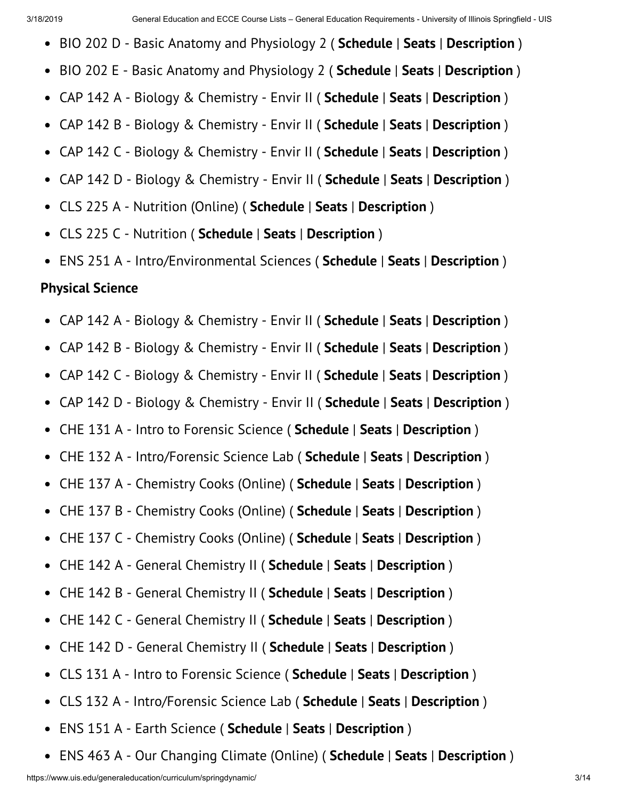- BIO 202 D Basic Anatomy and Physiology 2 ( **Schedule** | **Seats** | **Description** )  $\bullet$
- BIO 202 E Basic Anatomy and Physiology 2 ( **Schedule** | **Seats** | **Description** )  $\bullet$
- CAP 142 A Biology & Chemistry Envir II ( **Schedule** | **Seats** | **Description** )  $\bullet$
- CAP 142 B Biology & Chemistry Envir II ( **Schedule** | **Seats** | **Description** )  $\bullet$
- CAP 142 C Biology & Chemistry Envir II ( **Schedule** | **Seats** | **Description** )  $\bullet$
- CAP 142 D Biology & Chemistry Envir II ( **Schedule** | **Seats** | **Description** )  $\bullet$
- CLS 225 A Nutrition (Online) ( **Schedule** | **Seats** | **Description** )  $\bullet$
- CLS 225 C Nutrition ( **Schedule** | **Seats** | **Description** )  $\bullet$
- ENS 251 A Intro/Environmental Sciences ( **Schedule** | **Seats** | **Description** )

#### **Physical Science**

- CAP 142 A Biology & Chemistry Envir II ( **Schedule** | **Seats** | **Description** )  $\bullet$
- $\bullet$ CAP 142 B - Biology & Chemistry - Envir II ( **Schedule** | **Seats** | **Description** )
- CAP 142 C Biology & Chemistry Envir II ( **Schedule** | **Seats** | **Description** )  $\bullet$
- CAP 142 D Biology & Chemistry Envir II ( **Schedule** | **Seats** | **Description** )  $\bullet$
- CHE 131 A Intro to Forensic Science ( **Schedule** | **Seats** | **Description** )  $\bullet$
- CHE 132 A Intro/Forensic Science Lab ( **Schedule** | **Seats** | **Description** )  $\bullet$
- CHE 137 A Chemistry Cooks (Online) ( **Schedule** | **Seats** | **Description** )  $\bullet$
- CHE 137 B Chemistry Cooks (Online) ( **Schedule** | **Seats** | **Description** )  $\bullet$
- CHE 137 C Chemistry Cooks (Online) ( **Schedule** | **Seats** | **Description** )  $\bullet$
- CHE 142 A General Chemistry II ( **Schedule** | **Seats** | **Description** )  $\bullet$
- CHE 142 B General Chemistry II ( **Schedule** | **Seats** | **Description** )  $\bullet$
- CHE 142 C General Chemistry II ( **Schedule** | **Seats** | **Description** )  $\bullet$
- CHE 142 D General Chemistry II ( **Schedule** | **Seats** | **Description** )  $\bullet$
- CLS 131 A Intro to Forensic Science ( **Schedule** | **Seats** | **Description** )  $\bullet$
- CLS 132 A Intro/Forensic Science Lab ( **Schedule** | **Seats** | **Description** )  $\bullet$
- ENS 151 A Earth Science ( **Schedule** | **Seats** | **Description** )  $\bullet$
- ENS 463 A Our Changing Climate (Online) ( **Schedule** | **Seats** | **Description** ) $\bullet$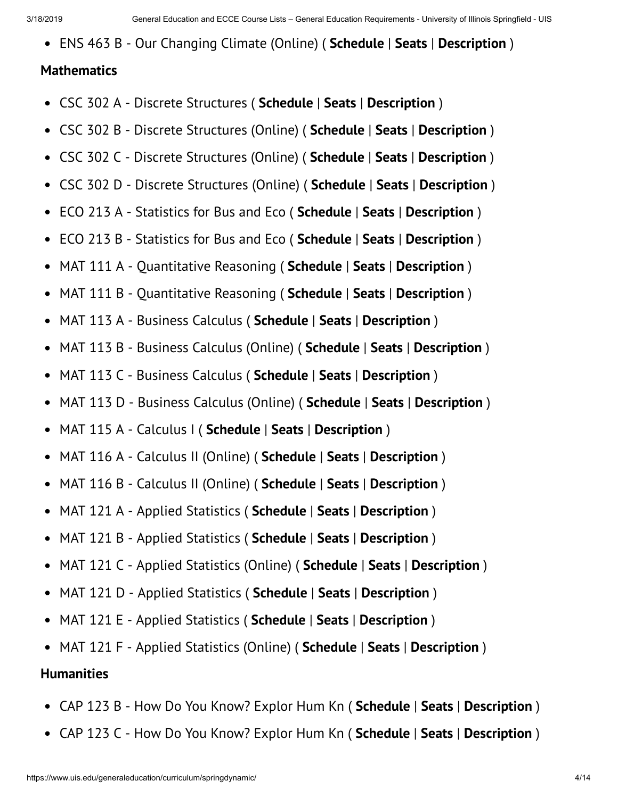ENS 463 B - Our Changing Climate (Online) ( **Schedule** | **Seats** | **Description** )

#### **Mathematics**

- CSC 302 A Discrete Structures ( **Schedule** | **Seats** | **Description** )  $\bullet$
- CSC 302 B Discrete Structures (Online) ( **Schedule** | **Seats** | **Description** )  $\bullet$
- CSC 302 C Discrete Structures (Online) ( **Schedule** | **Seats** | **Description** )  $\bullet$
- CSC 302 D Discrete Structures (Online) ( **Schedule** | **Seats** | **Description** )  $\bullet$
- ECO 213 A Statistics for Bus and Eco ( **Schedule** | **Seats** | **Description** )  $\bullet$
- ECO 213 B Statistics for Bus and Eco ( **Schedule** | **Seats** | **Description** )  $\bullet$
- MAT 111 A Quantitative Reasoning ( **Schedule** | **Seats** | **Description** )  $\bullet$
- MAT 111 B Quantitative Reasoning ( **Schedule** | **Seats** | **Description** )  $\bullet$
- MAT 113 A Business Calculus ( **Schedule** | **Seats** | **Description** )  $\bullet$
- $\bullet$ MAT 113 B - Business Calculus (Online) ( **Schedule** | **Seats** | **Description** )
- MAT 113 C Business Calculus ( **Schedule** | **Seats** | **Description** )  $\bullet$
- MAT 113 D Business Calculus (Online) ( **Schedule** | **Seats** | **Description** )  $\bullet$
- MAT 115 A Calculus I ( **Schedule** | **Seats** | **Description** )  $\bullet$
- MAT 116 A Calculus II (Online) ( **Schedule** | **Seats** | **Description** )  $\bullet$
- MAT 116 B Calculus II (Online) ( **Schedule** | **Seats** | **Description** )  $\bullet$
- MAT 121 A Applied Statistics ( **Schedule** | **Seats** | **Description** )  $\bullet$
- MAT 121 B Applied Statistics ( **Schedule** | **Seats** | **Description** )  $\bullet$
- MAT 121 C Applied Statistics (Online) ( **Schedule** | **Seats** | **Description** )  $\bullet$
- MAT 121 D Applied Statistics ( **Schedule** | **Seats** | **Description** )  $\bullet$
- $\bullet$ MAT 121 E - Applied Statistics ( **Schedule** | **Seats** | **Description** )
- MAT 121 F Applied Statistics (Online) ( **Schedule** | **Seats** | **Description** )  $\bullet$

#### **Humanities**

- CAP 123 B How Do You Know? Explor Hum Kn ( **Schedule** | **Seats** | **Description** )
- CAP 123 C How Do You Know? Explor Hum Kn ( **Schedule** | **Seats** | **Description** )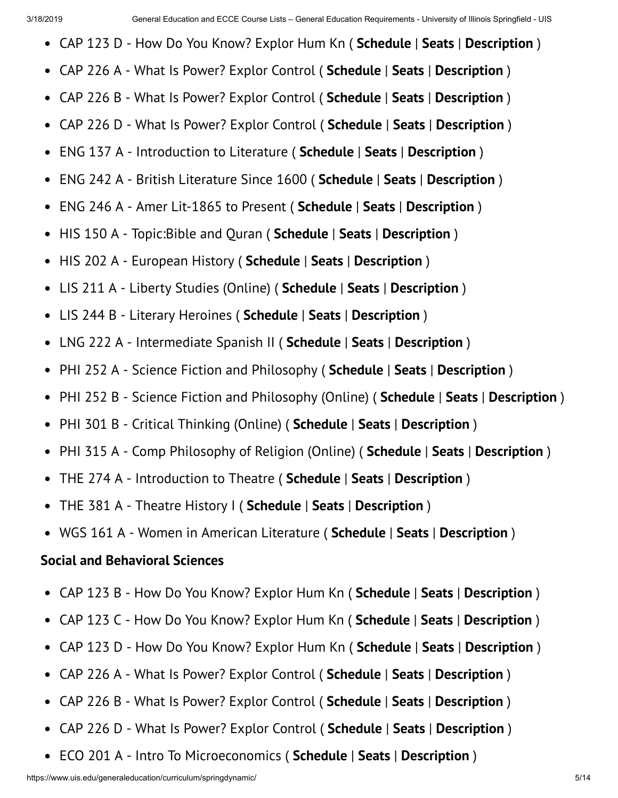- CAP 123 D How Do You Know? Explor Hum Kn ( **Schedule** | **Seats** | **Description** )
- CAP 226 A What Is Power? Explor Control ( **Schedule** | **Seats** | **Description** )
- CAP 226 B What Is Power? Explor Control ( **Schedule** | **Seats** | **Description** )  $\bullet$
- CAP 226 D What Is Power? Explor Control ( **Schedule** | **Seats** | **Description** )  $\bullet$
- ENG 137 A Introduction to Literature ( **Schedule** | **Seats** | **Description** )  $\bullet$
- ENG 242 A British Literature Since 1600 ( **Schedule** | **Seats** | **Description** )  $\bullet$
- ENG 246 A Amer Lit-1865 to Present ( **Schedule** | **Seats** | **Description** )  $\bullet$
- HIS 150 A Topic:Bible and Quran ( **Schedule** | **Seats** | **Description** )  $\bullet$
- HIS 202 A European History ( **Schedule** | **Seats** | **Description** )  $\bullet$
- LIS 211 A Liberty Studies (Online) ( **Schedule** | **Seats** | **Description** )  $\bullet$
- LIS 244 B Literary Heroines ( **Schedule** | **Seats** | **Description** )  $\bullet$
- LNG 222 A Intermediate Spanish II ( **Schedule** | **Seats** | **Description** )  $\bullet$
- PHI 252 A Science Fiction and Philosophy ( **Schedule** | **Seats** | **Description** )  $\bullet$
- PHI 252 B Science Fiction and Philosophy (Online) ( **Schedule** | **Seats** | **Description** )  $\bullet$
- PHI 301 B Critical Thinking (Online) ( **Schedule** | **Seats** | **Description** )  $\bullet$
- PHI 315 A Comp Philosophy of Religion (Online) ( **Schedule** | **Seats** | **Description** )  $\bullet$
- THE 274 A Introduction to Theatre ( **Schedule** | **Seats** | **Description** )  $\bullet$
- THE 381 A Theatre History I ( **Schedule** | **Seats** | **Description** )  $\bullet$
- WGS 161 A Women in American Literature ( **Schedule** | **Seats** | **Description** )

#### **Social and Behavioral Sciences**

- CAP 123 B How Do You Know? Explor Hum Kn ( **Schedule** | **Seats** | **Description** )  $\bullet$
- $\bullet$ CAP 123 C - How Do You Know? Explor Hum Kn ( **Schedule** | **Seats** | **Description** )
- CAP 123 D How Do You Know? Explor Hum Kn ( **Schedule** | **Seats** | **Description** )  $\bullet$
- CAP 226 A What Is Power? Explor Control ( **Schedule** | **Seats** | **Description** )  $\bullet$
- CAP 226 B What Is Power? Explor Control ( **Schedule** | **Seats** | **Description** )  $\bullet$
- CAP 226 D What Is Power? Explor Control ( **Schedule** | **Seats** | **Description** )  $\bullet$
- ECO 201 A Intro To Microeconomics ( **Schedule** | **Seats** | **Description** ) $\bullet$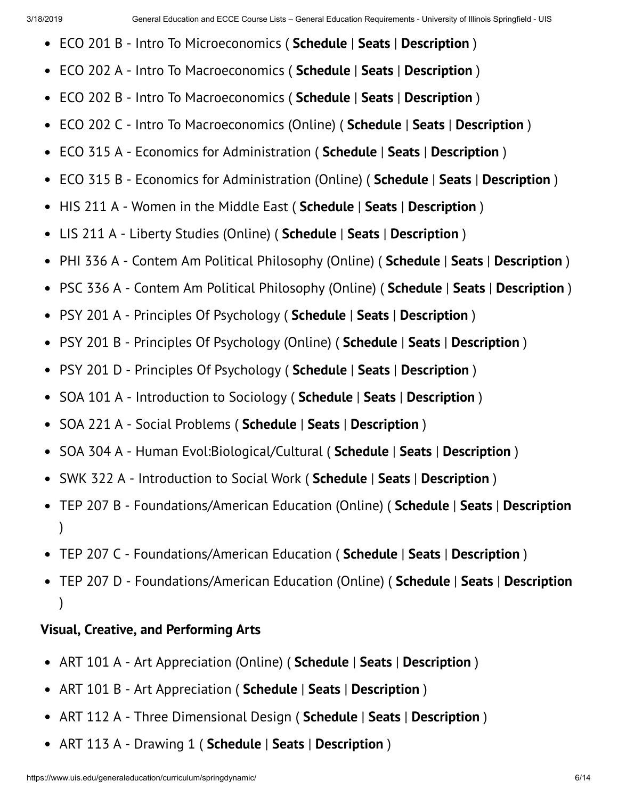- ECO 201 B Intro To Microeconomics ( **Schedule** | **Seats** | **Description** )
- ECO 202 A Intro To Macroeconomics ( **Schedule** | **Seats** | **Description** )  $\bullet$
- ECO 202 B Intro To Macroeconomics ( **Schedule** | **Seats** | **Description** )  $\bullet$
- ECO 202 C Intro To Macroeconomics (Online) ( **Schedule** | **Seats** | **Description** )  $\bullet$
- ECO 315 A Economics for Administration ( **Schedule** | **Seats** | **Description** )  $\bullet$
- ECO 315 B Economics for Administration (Online) ( **Schedule** | **Seats** | **Description** )  $\bullet$
- HIS 211 A Women in the Middle East ( **Schedule** | **Seats** | **Description** )  $\bullet$
- LIS 211 A Liberty Studies (Online) ( **Schedule** | **Seats** | **Description** )  $\bullet$
- PHI 336 A Contem Am Political Philosophy (Online) ( **Schedule** | **Seats** | **Description** )  $\bullet$
- PSC 336 A Contem Am Political Philosophy (Online) ( **Schedule** | **Seats** | **Description** )  $\bullet$
- PSY 201 A Principles Of Psychology ( **Schedule** | **Seats** | **Description** )  $\bullet$
- PSY 201 B Principles Of Psychology (Online) ( **Schedule** | **Seats** | **Description** )  $\bullet$
- PSY 201 D Principles Of Psychology ( **Schedule** | **Seats** | **Description** )  $\bullet$
- SOA 101 A Introduction to Sociology ( **Schedule** | **Seats** | **Description** )  $\bullet$
- SOA 221 A Social Problems ( **Schedule** | **Seats** | **Description** )  $\bullet$
- SOA 304 A Human Evol:Biological/Cultural ( **Schedule** | **Seats** | **Description** )  $\bullet$
- SWK 322 A Introduction to Social Work ( **Schedule** | **Seats** | **Description** )  $\bullet$
- TEP 207 B Foundations/American Education (Online) ( **Schedule** | **Seats** | **Description**  $\bullet$ )
- TEP 207 C Foundations/American Education ( **Schedule** | **Seats** | **Description** )
- TEP 207 D Foundations/American Education (Online) ( **Schedule** | **Seats** | **Description** )

#### **Visual, Creative, and Performing Arts**

- ART 101 A Art Appreciation (Online) ( **Schedule** | **Seats** | **Description** )  $\bullet$
- ART 101 B Art Appreciation ( **Schedule** | **Seats** | **Description** )  $\bullet$
- ART 112 A Three Dimensional Design ( **Schedule** | **Seats** | **Description** )
- ART 113 A Drawing 1 ( **Schedule** | **Seats** | **Description** )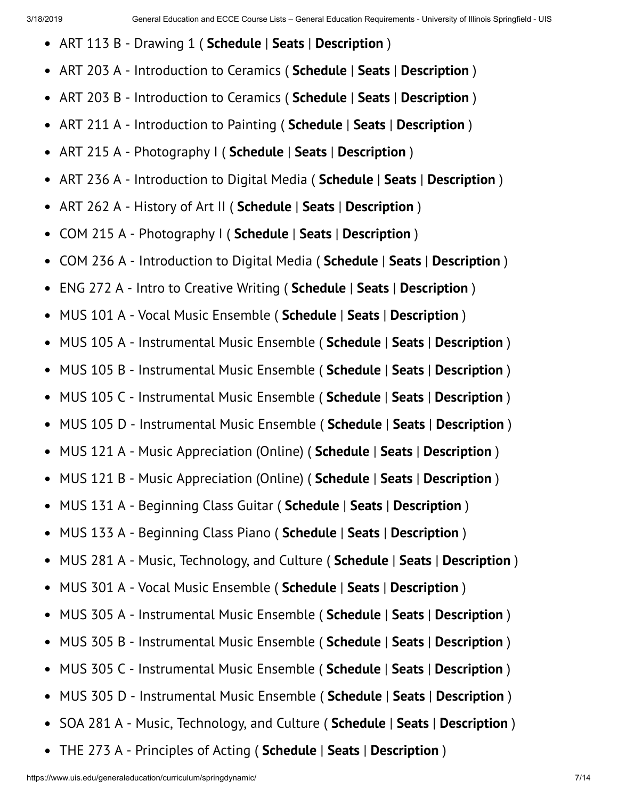- ART 113 B Drawing 1 ( **Schedule** | **Seats** | **Description** )  $\bullet$
- $\bullet$ ART 203 A - Introduction to Ceramics ( **Schedule** | **Seats** | **Description** )
- ART 203 B Introduction to Ceramics ( **Schedule** | **Seats** | **Description** )  $\bullet$
- ART 211 A Introduction to Painting ( **Schedule** | **Seats** | **Description** )  $\bullet$
- ART 215 A Photography I ( **Schedule** | **Seats** | **Description** )  $\bullet$
- ART 236 A Introduction to Digital Media ( **Schedule** | **Seats** | **Description** )  $\bullet$
- ART 262 A History of Art II ( **Schedule** | **Seats** | **Description** )  $\bullet$
- COM 215 A Photography I ( **Schedule** | **Seats** | **Description** )  $\bullet$
- COM 236 A Introduction to Digital Media ( **Schedule** | **Seats** | **Description** )  $\bullet$
- ENG 272 A Intro to Creative Writing ( **Schedule** | **Seats** | **Description** )  $\bullet$
- MUS 101 A Vocal Music Ensemble ( **Schedule** | **Seats** | **Description** )  $\bullet$
- MUS 105 A Instrumental Music Ensemble ( **Schedule** | **Seats** | **Description** )  $\bullet$
- MUS 105 B Instrumental Music Ensemble ( **Schedule** | **Seats** | **Description** )  $\bullet$
- $\bullet$ MUS 105 C - Instrumental Music Ensemble ( **Schedule** | **Seats** | **Description** )
- MUS 105 D Instrumental Music Ensemble ( **Schedule** | **Seats** | **Description** )  $\bullet$
- MUS 121 A Music Appreciation (Online) ( **Schedule** | **Seats** | **Description** )  $\bullet$
- MUS 121 B Music Appreciation (Online) ( **Schedule** | **Seats** | **Description** )  $\bullet$
- MUS 131 A Beginning Class Guitar ( **Schedule** | **Seats** | **Description** )  $\bullet$
- MUS 133 A Beginning Class Piano ( **Schedule** | **Seats** | **Description** )  $\bullet$
- MUS 281 A Music, Technology, and Culture ( **Schedule** | **Seats** | **Description** )  $\bullet$
- MUS 301 A Vocal Music Ensemble ( **Schedule** | **Seats** | **Description** )  $\bullet$
- MUS 305 A Instrumental Music Ensemble ( **Schedule** | **Seats** | **Description** )  $\bullet$
- MUS 305 B Instrumental Music Ensemble ( **Schedule** | **Seats** | **Description** )  $\bullet$
- MUS 305 C Instrumental Music Ensemble ( **Schedule** | **Seats** | **Description** )  $\bullet$
- MUS 305 D Instrumental Music Ensemble ( **Schedule** | **Seats** | **Description** )  $\bullet$
- SOA 281 A Music, Technology, and Culture ( **Schedule** | **Seats** | **Description** )  $\bullet$
- THE 273 A Principles of Acting ( **Schedule** | **Seats** | **Description** ) $\bullet$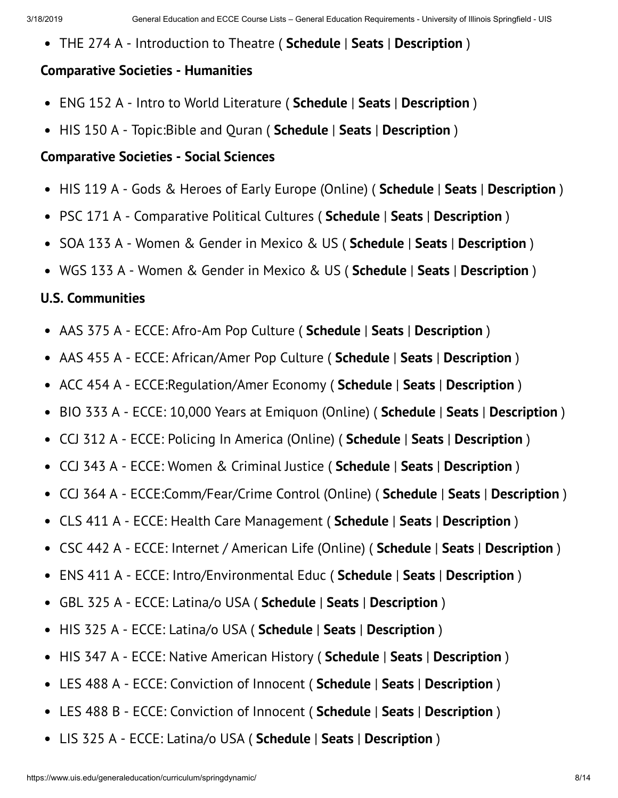THE 274 A - Introduction to Theatre ( **Schedule** | **Seats** | **Description** )

#### **Comparative Societies - Humanities**

- ENG 152 A Intro to World Literature ( **Schedule** | **Seats** | **Description** )
- HIS 150 A Topic:Bible and Quran ( **Schedule** | **Seats** | **Description** )  $\bullet$

#### **Comparative Societies - Social Sciences**

- HIS 119 A Gods & Heroes of Early Europe (Online) ( **Schedule** | **Seats** | **Description** )
- PSC 171 A Comparative Political Cultures ( **Schedule** | **Seats** | **Description** )  $\bullet$
- SOA 133 A Women & Gender in Mexico & US ( **Schedule** | **Seats** | **Description** )  $\bullet$
- WGS 133 A Women & Gender in Mexico & US ( **Schedule** | **Seats** | **Description** )

#### **U.S. Communities**

- AAS 375 A ECCE: Afro-Am Pop Culture ( **Schedule** | **Seats** | **Description** )  $\bullet$
- AAS 455 A ECCE: African/Amer Pop Culture ( **Schedule** | **Seats** | **Description** )  $\bullet$
- ACC 454 A ECCE:Regulation/Amer Economy ( **Schedule** | **Seats** | **Description** )  $\bullet$
- BIO 333 A ECCE: 10,000 Years at Emiquon (Online) ( **Schedule** | **Seats** | **Description** )  $\bullet$
- CCJ 312 A ECCE: Policing In America (Online) ( **Schedule** | **Seats** | **Description** )  $\bullet$
- CCJ 343 A ECCE: Women & Criminal Justice ( **Schedule** | **Seats** | **Description** )  $\bullet$
- CCJ 364 A ECCE:Comm/Fear/Crime Control (Online) ( **Schedule** | **Seats** | **Description** )  $\bullet$
- CLS 411 A ECCE: Health Care Management ( **Schedule** | **Seats** | **Description** )  $\bullet$
- CSC 442 A ECCE: Internet / American Life (Online) ( **Schedule** | **Seats** | **Description** )  $\bullet$
- ENS 411 A ECCE: Intro/Environmental Educ ( **Schedule** | **Seats** | **Description** )  $\bullet$
- GBL 325 A ECCE: Latina/o USA ( **Schedule** | **Seats** | **Description** )  $\bullet$
- HIS 325 A ECCE: Latina/o USA ( **Schedule** | **Seats** | **Description** )  $\bullet$
- HIS 347 A ECCE: Native American History ( **Schedule** | **Seats** | **Description** )  $\bullet$
- LES 488 A ECCE: Conviction of Innocent ( **Schedule** | **Seats** | **Description** )  $\bullet$
- LES 488 B ECCE: Conviction of Innocent ( **Schedule** | **Seats** | **Description** )  $\bullet$
- LIS 325 A ECCE: Latina/o USA ( **Schedule** | **Seats** | **Description** )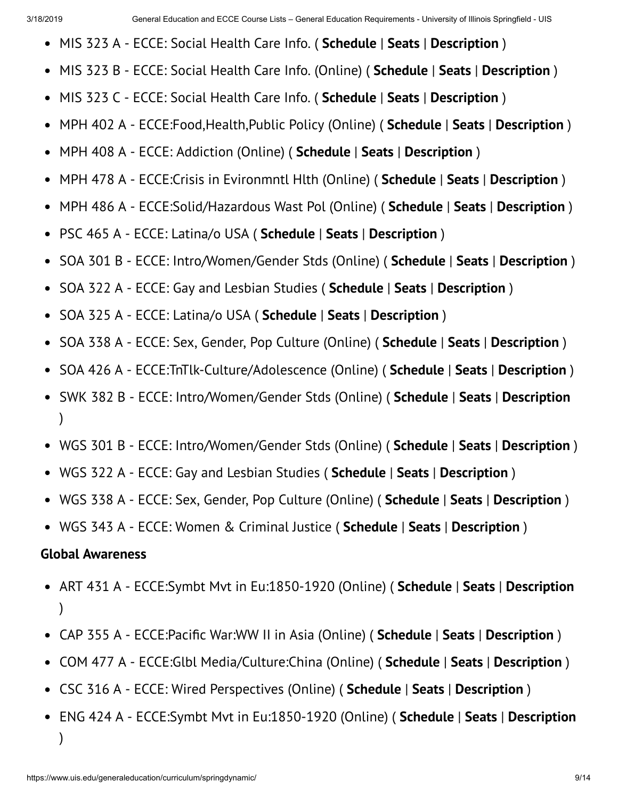- MIS 323 A ECCE: Social Health Care Info. ( **Schedule** | **Seats** | **Description** )
- MIS 323 B ECCE: Social Health Care Info. (Online) ( **Schedule** | **Seats** | **Description** )  $\bullet$
- MIS 323 C ECCE: Social Health Care Info. ( **Schedule** | **Seats** | **Description** )  $\bullet$
- MPH 402 A ECCE:Food,Health,Public Policy (Online) ( **Schedule** | **Seats** | **Description** )  $\bullet$
- MPH 408 A ECCE: Addiction (Online) ( **Schedule** | **Seats** | **Description** )  $\bullet$
- MPH 478 A ECCE:Crisis in Evironmntl Hlth (Online) ( **Schedule** | **Seats** | **Description** )  $\bullet$
- MPH 486 A ECCE:Solid/Hazardous Wast Pol (Online) ( **Schedule** | **Seats** | **Description** )  $\bullet$
- PSC 465 A ECCE: Latina/o USA ( **Schedule** | **Seats** | **Description** )  $\bullet$
- SOA 301 B ECCE: Intro/Women/Gender Stds (Online) ( **Schedule** | **Seats** | **Description** )  $\bullet$
- SOA 322 A ECCE: Gay and Lesbian Studies ( **Schedule** | **Seats** | **Description** )  $\bullet$
- SOA 325 A ECCE: Latina/o USA ( **Schedule** | **Seats** | **Description** )  $\bullet$
- SOA 338 A ECCE: Sex, Gender, Pop Culture (Online) ( **Schedule** | **Seats** | **Description** )  $\bullet$
- SOA 426 A ECCE:TnTlk-Culture/Adolescence (Online) ( **Schedule** | **Seats** | **Description** )  $\bullet$
- SWK 382 B ECCE: Intro/Women/Gender Stds (Online) ( **Schedule** | **Seats** | **Description**  $\bullet$ )
- WGS 301 B ECCE: Intro/Women/Gender Stds (Online) ( **Schedule** | **Seats** | **Description** )
- WGS 322 A ECCE: Gay and Lesbian Studies ( **Schedule** | **Seats** | **Description** )
- WGS 338 A ECCE: Sex, Gender, Pop Culture (Online) ( **Schedule** | **Seats** | **Description** )
- WGS 343 A ECCE: Women & Criminal Justice ( **Schedule** | **Seats** | **Description** )

#### **Global Awareness**

- ART 431 A ECCE:Symbt Mvt in Eu:1850-1920 (Online) ( **Schedule** | **Seats** | **Description** )
- CAP 355 A ECCE: Pacific War: WW II in Asia (Online) (**Schedule** | **Seats** | **Description**)
- COM 477 A ECCE:Glbl Media/Culture:China (Online) ( **Schedule** | **Seats** | **Description** )  $\bullet$
- CSC 316 A ECCE: Wired Perspectives (Online) ( **Schedule** | **Seats** | **Description** )
- ENG 424 A ECCE:Symbt Mvt in Eu:1850-1920 (Online) ( **Schedule** | **Seats** | **Description** )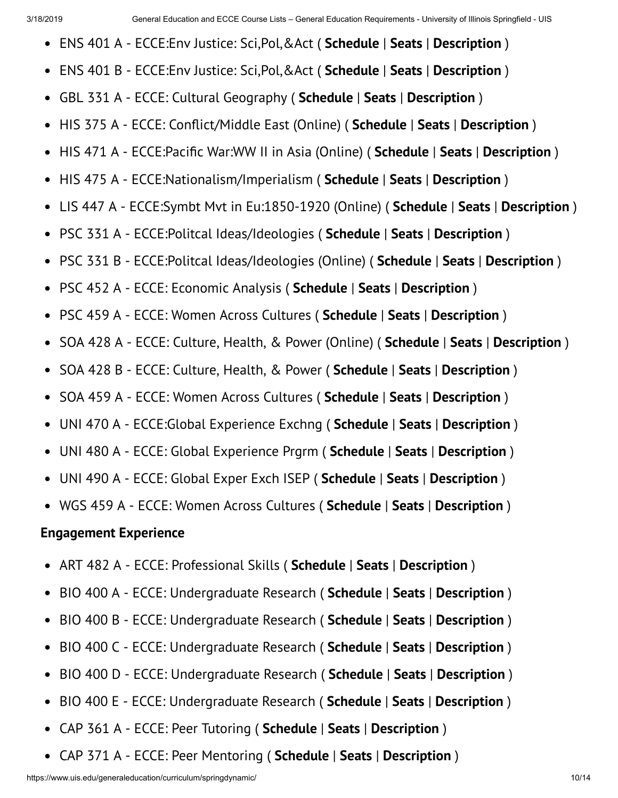- ENS 401 A ECCE:Env Justice: Sci,Pol,&Act ( **Schedule** | **Seats** | **Description** )  $\bullet$
- ENS 401 B ECCE:Env Justice: Sci,Pol,&Act ( **Schedule** | **Seats** | **Description** )  $\bullet$
- GBL 331 A ECCE: Cultural Geography ( **Schedule** | **Seats** | **Description** )  $\bullet$
- HIS 375 A ECCE: Conict/Middle East (Online) ( **Schedule** | **Seats** | **Description** )  $\bullet$
- HIS 471 A ECCE: Pacific War: WW II in Asia (Online) (**Schedule** | **Seats** | **Description**)  $\bullet$
- HIS 475 A ECCE:Nationalism/Imperialism ( **Schedule** | **Seats** | **Description** )  $\bullet$
- LIS 447 A ECCE:Symbt Mvt in Eu:1850-1920 (Online) ( **Schedule** | **Seats** | **Description** )  $\bullet$
- PSC 331 A ECCE:Politcal Ideas/Ideologies ( **Schedule** | **Seats** | **Description** )  $\bullet$
- PSC 331 B ECCE:Politcal Ideas/Ideologies (Online) ( **Schedule** | **Seats** | **Description** )  $\bullet$
- PSC 452 A ECCE: Economic Analysis ( **Schedule** | **Seats** | **Description** )  $\bullet$
- PSC 459 A ECCE: Women Across Cultures ( **Schedule** | **Seats** | **Description** )  $\bullet$
- SOA 428 A ECCE: Culture, Health, & Power (Online) ( **Schedule** | **Seats** | **Description** )  $\bullet$
- SOA 428 B ECCE: Culture, Health, & Power ( **Schedule** | **Seats** | **Description** )  $\bullet$
- $\bullet$ SOA 459 A - ECCE: Women Across Cultures ( **Schedule** | **Seats** | **Description** )
- UNI 470 A ECCE:Global Experience Exchng ( **Schedule** | **Seats** | **Description** )  $\bullet$
- UNI 480 A ECCE: Global Experience Prgrm ( **Schedule** | **Seats** | **Description** )  $\bullet$
- UNI 490 A ECCE: Global Exper Exch ISEP ( **Schedule** | **Seats** | **Description** )  $\bullet$
- WGS 459 A ECCE: Women Across Cultures ( **Schedule** | **Seats** | **Description** )

#### **Engagement Experience**

- ART 482 A ECCE: Professional Skills ( **Schedule** | **Seats** | **Description** )  $\bullet$
- BIO 400 A ECCE: Undergraduate Research ( **Schedule** | **Seats** | **Description** )  $\bullet$
- BIO 400 B ECCE: Undergraduate Research ( **Schedule** | **Seats** | **Description** )  $\bullet$
- BIO 400 C ECCE: Undergraduate Research ( **Schedule** | **Seats** | **Description** )  $\bullet$
- BIO 400 D ECCE: Undergraduate Research ( **Schedule** | **Seats** | **Description** )  $\bullet$
- BIO 400 E ECCE: Undergraduate Research ( **Schedule** | **Seats** | **Description** )  $\bullet$
- CAP 361 A ECCE: Peer Tutoring ( **Schedule** | **Seats** | **Description** )  $\bullet$
- CAP 371 A ECCE: Peer Mentoring ( **Schedule** | **Seats** | **Description** ) $\bullet$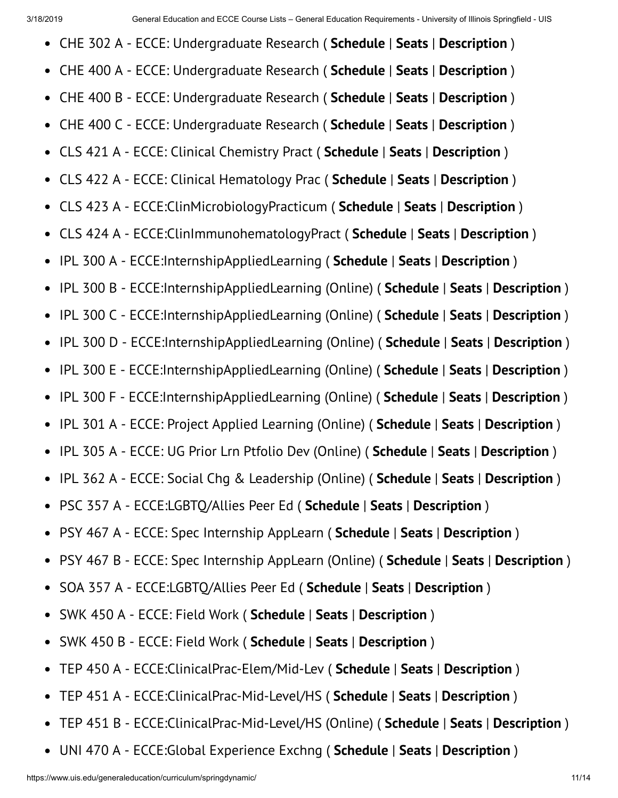- CHE 302 A ECCE: Undergraduate Research ( **Schedule** | **Seats** | **Description** )  $\bullet$
- $\bullet$ CHE 400 A - ECCE: Undergraduate Research ( **Schedule** | **Seats** | **Description** )
- CHE 400 B ECCE: Undergraduate Research ( **Schedule** | **Seats** | **Description** )  $\bullet$
- CHE 400 C ECCE: Undergraduate Research ( **Schedule** | **Seats** | **Description** )  $\bullet$
- CLS 421 A ECCE: Clinical Chemistry Pract ( **Schedule** | **Seats** | **Description** )  $\bullet$
- CLS 422 A ECCE: Clinical Hematology Prac ( **Schedule** | **Seats** | **Description** )  $\bullet$
- CLS 423 A ECCE:ClinMicrobiologyPracticum ( **Schedule** | **Seats** | **Description** )  $\bullet$
- CLS 424 A ECCE:ClinImmunohematologyPract ( **Schedule** | **Seats** | **Description** )  $\bullet$
- IPL 300 A ECCE:InternshipAppliedLearning ( **Schedule** | **Seats** | **Description** )  $\bullet$
- IPL 300 B ECCE:InternshipAppliedLearning (Online) ( **Schedule** | **Seats** | **Description** )  $\bullet$
- IPL 300 C ECCE:InternshipAppliedLearning (Online) ( **Schedule** | **Seats** | **Description** )  $\bullet$
- IPL 300 D ECCE:InternshipAppliedLearning (Online) ( **Schedule** | **Seats** | **Description** )  $\bullet$
- IPL 300 E ECCE:InternshipAppliedLearning (Online) ( **Schedule** | **Seats** | **Description** )  $\bullet$
- IPL 300 F ECCE:InternshipAppliedLearning (Online) ( **Schedule** | **Seats** | **Description** )  $\bullet$
- IPL 301 A ECCE: Project Applied Learning (Online) ( **Schedule** | **Seats** | **Description** )  $\bullet$
- IPL 305 A ECCE: UG Prior Lrn Ptfolio Dev (Online) ( **Schedule** | **Seats** | **Description** )  $\bullet$
- IPL 362 A ECCE: Social Chg & Leadership (Online) ( **Schedule** | **Seats** | **Description** )  $\bullet$
- PSC 357 A ECCE:LGBTQ/Allies Peer Ed ( **Schedule** | **Seats** | **Description** )  $\bullet$
- PSY 467 A ECCE: Spec Internship AppLearn ( **Schedule** | **Seats** | **Description** )  $\bullet$
- PSY 467 B ECCE: Spec Internship AppLearn (Online) ( **Schedule** | **Seats** | **Description** )  $\bullet$
- SOA 357 A ECCE:LGBTQ/Allies Peer Ed ( **Schedule** | **Seats** | **Description** )  $\bullet$
- SWK 450 A ECCE: Field Work ( **Schedule** | **Seats** | **Description** )  $\bullet$
- SWK 450 B ECCE: Field Work ( **Schedule** | **Seats** | **Description** )  $\bullet$
- TEP 450 A ECCE:ClinicalPrac-Elem/Mid-Lev ( **Schedule** | **Seats** | **Description** )  $\bullet$
- TEP 451 A ECCE:ClinicalPrac-Mid-Level/HS ( **Schedule** | **Seats** | **Description** )  $\bullet$
- TEP 451 B ECCE:ClinicalPrac-Mid-Level/HS (Online) ( **Schedule** | **Seats** | **Description** )  $\bullet$
- UNI 470 A ECCE:Global Experience Exchng ( **Schedule** | **Seats** | **Description** ) $\bullet$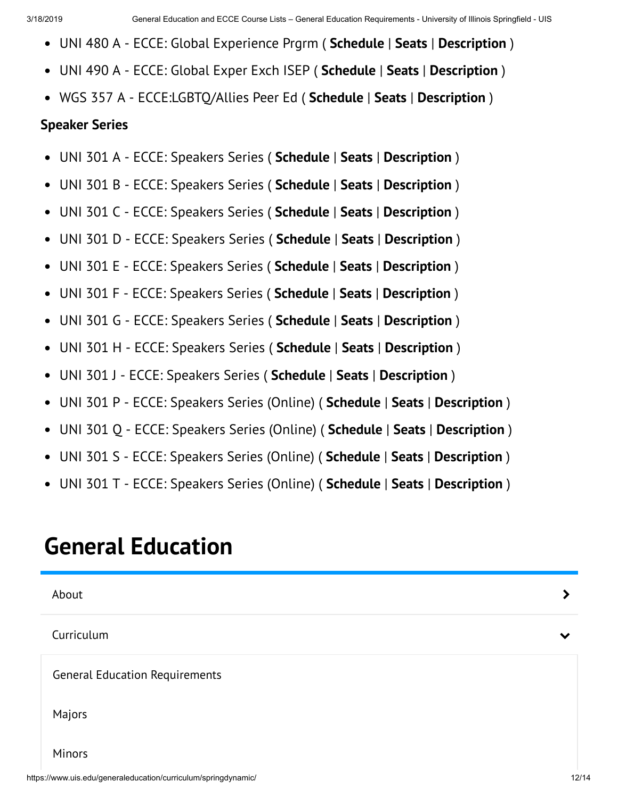- UNI 480 A ECCE: Global Experience Prgrm ( **Schedule** | **Seats** | **Description** )
- UNI 490 A ECCE: Global Exper Exch ISEP ( **Schedule** | **Seats** | **Description** )
- WGS 357 A ECCE:LGBTQ/Allies Peer Ed ( **Schedule** | **Seats** | **Description** )

#### **Speaker Series**

- UNI 301 A ECCE: Speakers Series ( **Schedule** | **Seats** | **Description** )  $\bullet$
- UNI 301 B ECCE: Speakers Series ( **Schedule** | **Seats** | **Description** )  $\bullet$
- UNI 301 C ECCE: Speakers Series ( **Schedule** | **Seats** | **Description** )  $\bullet$
- UNI 301 D ECCE: Speakers Series ( **Schedule** | **Seats** | **Description** )  $\bullet$
- UNI 301 E ECCE: Speakers Series ( **Schedule** | **Seats** | **Description** )  $\bullet$
- UNI 301 F ECCE: Speakers Series ( **Schedule** | **Seats** | **Description** )  $\bullet$
- UNI 301 G ECCE: Speakers Series ( **Schedule** | **Seats** | **Description** )  $\bullet$
- UNI 301 H ECCE: Speakers Series ( **Schedule** | **Seats** | **Description** )  $\bullet$
- UNI 301 J ECCE: Speakers Series ( **Schedule** | **Seats** | **Description** )  $\bullet$
- UNI 301 P ECCE: Speakers Series (Online) ( **Schedule** | **Seats** | **Description** )  $\bullet$
- UNI 301 Q ECCE: Speakers Series (Online) ( **Schedule** | **Seats** | **Description** )  $\bullet$
- UNI 301 S ECCE: Speakers Series (Online) ( **Schedule** | **Seats** | **Description** )  $\bullet$
- UNI 301 T ECCE: Speakers Series (Online) ( **Schedule** | **Seats** | **Description** )

# **General Education**

| About                                                          |              |
|----------------------------------------------------------------|--------------|
| Curriculum                                                     | $\checkmark$ |
| <b>General Education Requirements</b>                          |              |
| Majors                                                         |              |
| Minors                                                         |              |
| https://www.uis.edu/generaleducation/curriculum/springdynamic/ | 12/14        |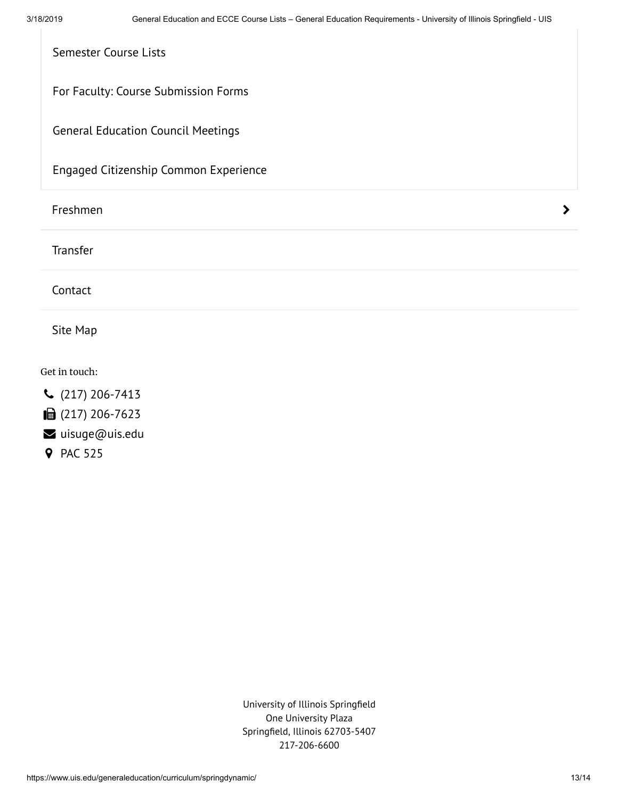| Semester Course Lists                     |   |
|-------------------------------------------|---|
| For Faculty: Course Submission Forms      |   |
| <b>General Education Council Meetings</b> |   |
| Engaged Citizenship Common Experience     |   |
|                                           |   |
| Freshmen                                  | ⋗ |
| Transfer                                  |   |
| Contact                                   |   |

Get in touch:

- (217) 206-7413
- (217) 206-7623
- uisuge@uis.edu
- **9** PAC 525

University of Illinois Springfield One University Plaza Springfield, Illinois 62703-5407 217-206-6600